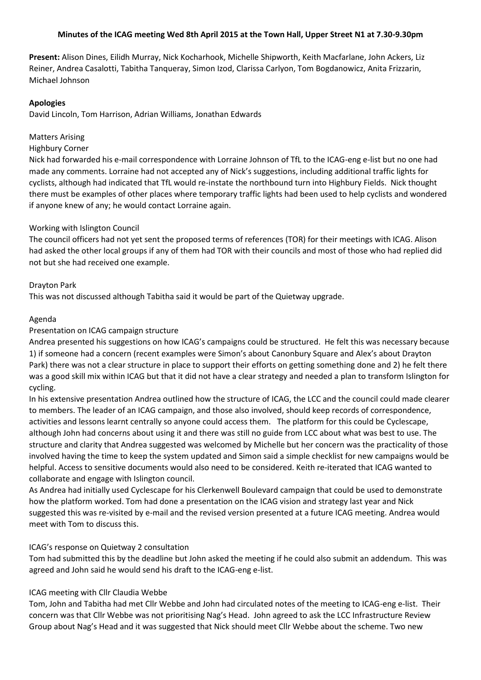## **Minutes of the ICAG meeting Wed 8th April 2015 at the Town Hall, Upper Street N1 at 7.30-9.30pm**

**Present:** Alison Dines, Eilidh Murray, Nick Kocharhook, Michelle Shipworth, Keith Macfarlane, John Ackers, Liz Reiner, Andrea Casalotti, Tabitha Tanqueray, Simon Izod, Clarissa Carlyon, Tom Bogdanowicz, Anita Frizzarin, Michael Johnson

### **Apologies**

David Lincoln, Tom Harrison, Adrian Williams, Jonathan Edwards

### Matters Arising

### Highbury Corner

Nick had forwarded his e-mail correspondence with Lorraine Johnson of TfL to the ICAG-eng e-list but no one had made any comments. Lorraine had not accepted any of Nick's suggestions, including additional traffic lights for cyclists, although had indicated that TfL would re-instate the northbound turn into Highbury Fields. Nick thought there must be examples of other places where temporary traffic lights had been used to help cyclists and wondered if anyone knew of any; he would contact Lorraine again.

### Working with Islington Council

The council officers had not yet sent the proposed terms of references (TOR) for their meetings with ICAG. Alison had asked the other local groups if any of them had TOR with their councils and most of those who had replied did not but she had received one example.

### Drayton Park

This was not discussed although Tabitha said it would be part of the Quietway upgrade.

### Agenda

### Presentation on ICAG campaign structure

Andrea presented his suggestions on how ICAG's campaigns could be structured. He felt this was necessary because 1) if someone had a concern (recent examples were Simon's about Canonbury Square and Alex's about Drayton Park) there was not a clear structure in place to support their efforts on getting something done and 2) he felt there was a good skill mix within ICAG but that it did not have a clear strategy and needed a plan to transform Islington for cycling.

In his extensive presentation Andrea outlined how the structure of ICAG, the LCC and the council could made clearer to members. The leader of an ICAG campaign, and those also involved, should keep records of correspondence, activities and lessons learnt centrally so anyone could access them. The platform for this could be Cyclescape, although John had concerns about using it and there was still no guide from LCC about what was best to use. The structure and clarity that Andrea suggested was welcomed by Michelle but her concern was the practicality of those involved having the time to keep the system updated and Simon said a simple checklist for new campaigns would be helpful. Access to sensitive documents would also need to be considered. Keith re-iterated that ICAG wanted to collaborate and engage with Islington council.

As Andrea had initially used Cyclescape for his Clerkenwell Boulevard campaign that could be used to demonstrate how the platform worked. Tom had done a presentation on the ICAG vision and strategy last year and Nick suggested this was re-visited by e-mail and the revised version presented at a future ICAG meeting. Andrea would meet with Tom to discuss this.

### ICAG's response on Quietway 2 consultation

Tom had submitted this by the deadline but John asked the meeting if he could also submit an addendum. This was agreed and John said he would send his draft to the ICAG-eng e-list.

### ICAG meeting with Cllr Claudia Webbe

Tom, John and Tabitha had met Cllr Webbe and John had circulated notes of the meeting to ICAG-eng e-list. Their concern was that Cllr Webbe was not prioritising Nag's Head. John agreed to ask the LCC Infrastructure Review Group about Nag's Head and it was suggested that Nick should meet Cllr Webbe about the scheme. Two new